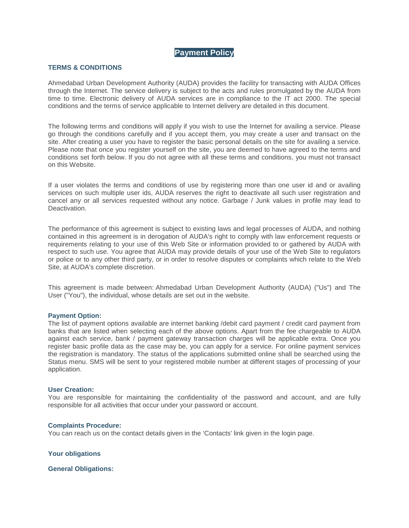# **Payment Policy**

## **TERMS & CONDITIONS**

Ahmedabad Urban Development Authority (AUDA) provides the facility for transacting with AUDA Offices through the Internet. The service delivery is subject to the acts and rules promulgated by the AUDA from time to time. Electronic delivery of AUDA services are in compliance to the IT act 2000. The special conditions and the terms of service applicable to Internet delivery are detailed in this document.

The following terms and conditions will apply if you wish to use the Internet for availing a service. Please go through the conditions carefully and if you accept them, you may create a user and transact on the site. After creating a user you have to register the basic personal details on the site for availing a service. Please note that once you register yourself on the site, you are deemed to have agreed to the terms and conditions set forth below. If you do not agree with all these terms and conditions, you must not transact on this Website.

If a user violates the terms and conditions of use by registering more than one user id and or availing services on such multiple user ids, AUDA reserves the right to deactivate all such user registration and cancel any or all services requested without any notice. Garbage / Junk values in profile may lead to **Deactivation** 

The performance of this agreement is subject to existing laws and legal processes of AUDA, and nothing contained in this agreement is in derogation of AUDA's right to comply with law enforcement requests or requirements relating to your use of this Web Site or information provided to or gathered by AUDA with respect to such use. You agree that AUDA may provide details of your use of the Web Site to regulators or police or to any other third party, or in order to resolve disputes or complaints which relate to the Web Site, at AUDA's complete discretion.

This agreement is made between: Ahmedabad Urban Development Authority (AUDA) ("Us") and The User ("You"), the individual, whose details are set out in the website.

### **Payment Option:**

The list of payment options available are internet banking /debit card payment / credit card payment from banks that are listed when selecting each of the above options. Apart from the fee chargeable to AUDA against each service, bank / payment gateway transaction charges will be applicable extra. Once you register basic profile data as the case may be, you can apply for a service. For online payment services the registration is mandatory. The status of the applications submitted online shall be searched using the Status menu. SMS will be sent to your registered mobile number at different stages of processing of your application.

#### **User Creation:**

You are responsible for maintaining the confidentiality of the password and account, and are fully responsible for all activities that occur under your password or account.

#### **Complaints Procedure:**

You can reach us on the contact details given in the 'Contacts' link given in the login page.

**Your obligations**

**General Obligations:**